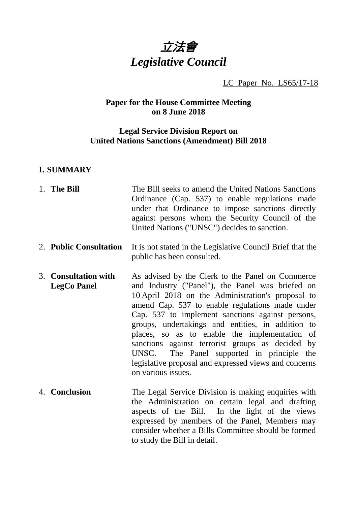

# LC Paper No. LS65/17-18

# **Paper for the House Committee Meeting on 8 June 2018**

# **Legal Service Division Report on United Nations Sanctions (Amendment) Bill 2018**

## **I. SUMMARY**

| 1. The Bill                                | The Bill seeks to amend the United Nations Sanctions<br>Ordinance (Cap. 537) to enable regulations made<br>under that Ordinance to impose sanctions directly<br>against persons whom the Security Council of the<br>United Nations ("UNSC") decides to sanction.                                                                                                                                                                                                                                                                                           |
|--------------------------------------------|------------------------------------------------------------------------------------------------------------------------------------------------------------------------------------------------------------------------------------------------------------------------------------------------------------------------------------------------------------------------------------------------------------------------------------------------------------------------------------------------------------------------------------------------------------|
| 2. Public Consultation                     | It is not stated in the Legislative Council Brief that the<br>public has been consulted.                                                                                                                                                                                                                                                                                                                                                                                                                                                                   |
| 3. Consultation with<br><b>LegCo Panel</b> | As advised by the Clerk to the Panel on Commerce<br>and Industry ("Panel"), the Panel was briefed on<br>10 April 2018 on the Administration's proposal to<br>amend Cap. 537 to enable regulations made under<br>Cap. 537 to implement sanctions against persons,<br>groups, undertakings and entities, in addition to<br>places, so as to enable the implementation of<br>sanctions against terrorist groups as decided by<br>The Panel supported in principle the<br>UNSC.<br>legislative proposal and expressed views and concerns<br>on various issues. |
| 4. Conclusion                              | The Legal Service Division is making enquiries with<br>the Administration on certain legal and drafting<br>aspects of the Bill. In the light of the views<br>expressed by members of the Panel, Members may<br>consider whether a Bills Committee should be formed<br>to study the Bill in detail.                                                                                                                                                                                                                                                         |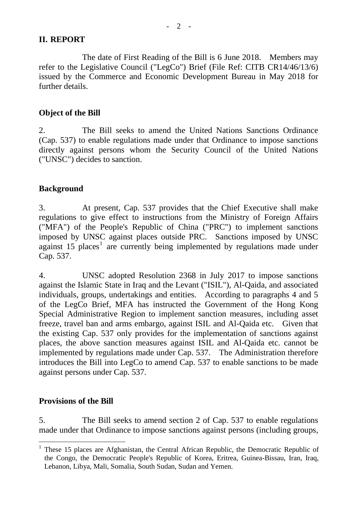### **II. REPORT**

The date of First Reading of the Bill is 6 June 2018. Members may refer to the Legislative Council ("LegCo") Brief (File Ref: CITB CR14/46/13/6) issued by the Commerce and Economic Development Bureau in May 2018 for further details.

#### **Object of the Bill**

2. The Bill seeks to amend the United Nations Sanctions Ordinance (Cap. 537) to enable regulations made under that Ordinance to impose sanctions directly against persons whom the Security Council of the United Nations ("UNSC") decides to sanction.

#### **Background**

3. At present, Cap. 537 provides that the Chief Executive shall make regulations to give effect to instructions from the Ministry of Foreign Affairs ("MFA") of the People's Republic of China ("PRC") to implement sanctions imposed by UNSC against places outside PRC. Sanctions imposed by UNSC against  $15$  $15$  places<sup>1</sup> are currently being implemented by regulations made under Cap. 537.

4. UNSC adopted Resolution 2368 in July 2017 to impose sanctions against the Islamic State in Iraq and the Levant ("ISIL"), Al-Qaida, and associated individuals, groups, undertakings and entities. According to paragraphs 4 and 5 of the LegCo Brief, MFA has instructed the Government of the Hong Kong Special Administrative Region to implement sanction measures, including asset freeze, travel ban and arms embargo, against ISIL and Al-Qaida etc. Given that the existing Cap. 537 only provides for the implementation of sanctions against places, the above sanction measures against ISIL and Al-Qaida etc. cannot be implemented by regulations made under Cap. 537. The Administration therefore introduces the Bill into LegCo to amend Cap. 537 to enable sanctions to be made against persons under Cap. 537.

#### **Provisions of the Bill**

5. The Bill seeks to amend section 2 of Cap. 537 to enable regulations made under that Ordinance to impose sanctions against persons (including groups,

<span id="page-1-0"></span> <sup>1</sup> These 15 places are Afghanistan, the Central African Republic, the Democratic Republic of the Congo, the Democratic People's Republic of Korea, Eritrea, Guinea-Bissau, Iran, Iraq, Lebanon, Libya, Mali, Somalia, South Sudan, Sudan and Yemen.